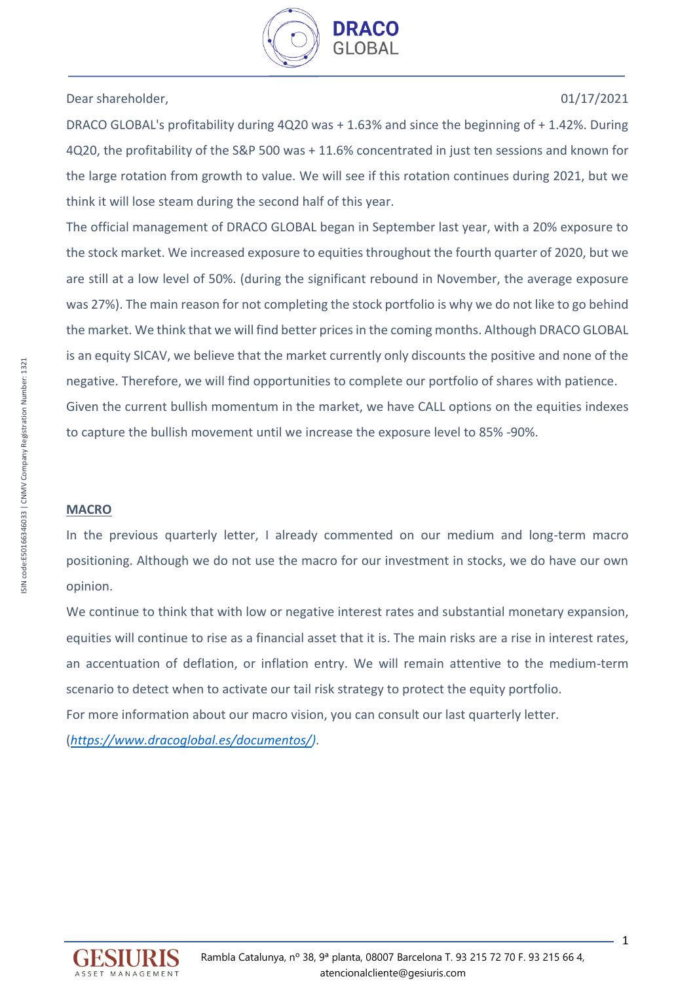

# Dear shareholder, 01/17/2021

DRACO GLOBAL's profitability during 4Q20 was + 1.63% and since the beginning of + 1.42%. During 4Q20, the profitability of the S&P 500 was + 11.6% concentrated in just ten sessions and known for the large rotation from growth to value. We will see if this rotation continues during 2021, but we think it will lose steam during the second half of this year.

The official management of DRACO GLOBAL began in September last year, with a 20% exposure to the stock market. We increased exposure to equities throughout the fourth quarter of 2020, but we are still at a low level of 50%. (during the significant rebound in November, the average exposure was 27%). The main reason for not completing the stock portfolio is why we do not like to go behind the market. We think that we will find better prices in the coming months. Although DRACO GLOBAL is an equity SICAV, we believe that the market currently only discounts the positive and none of the negative. Therefore, we will find opportunities to complete our portfolio of shares with patience. Given the current bullish momentum in the market, we have CALL options on the equities indexes to capture the bullish movement until we increase the exposure level to 85% -90%.

## **MACRO**

In the previous quarterly letter, I already commented on our medium and long-term macro positioning. Although we do not use the macro for our investment in stocks, we do have our own opinion.

We continue to think that with low or negative interest rates and substantial monetary expansion, equities will continue to rise as a financial asset that it is. The main risks are a rise in interest rates, an accentuation of deflation, or inflation entry. We will remain attentive to the medium-term scenario to detect when to activate our tail risk strategy to protect the equity portfolio. For more information about our macro vision, you can consult our last quarterly letter. (*[https://www.dracoglobal.es/documentos/\)](https://www.dracoglobal.es/documentos/)*.

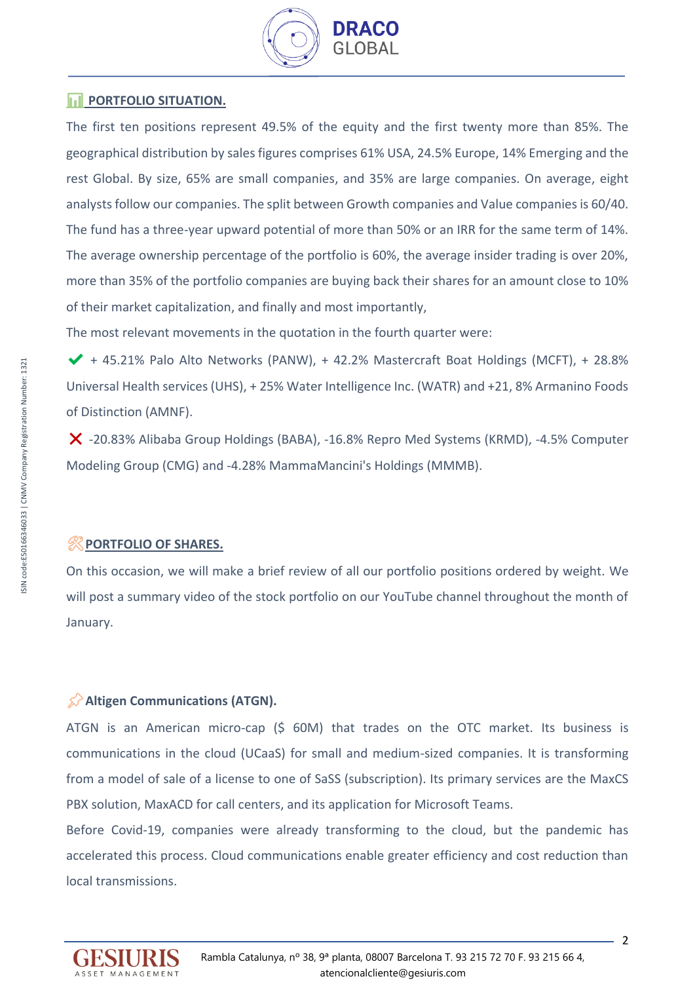

# **FORTFOLIO SITUATION.**

The first ten positions represent 49.5% of the equity and the first twenty more than 85%. The geographical distribution by sales figures comprises 61% USA, 24.5% Europe, 14% Emerging and the rest Global. By size, 65% are small companies, and 35% are large companies. On average, eight analysts follow our companies. The split between Growth companies and Value companies is 60/40. The fund has a three-year upward potential of more than 50% or an IRR for the same term of 14%. The average ownership percentage of the portfolio is 60%, the average insider trading is over 20%, more than 35% of the portfolio companies are buying back their shares for an amount close to 10% of their market capitalization, and finally and most importantly,

The most relevant movements in the quotation in the fourth quarter were:

 $\blacktriangledown$  + 45.21% Palo Alto Networks (PANW), + 42.2% Mastercraft Boat Holdings (MCFT), + 28.8% Universal Health services (UHS), + 25% Water Intelligence Inc. (WATR) and +21, 8% Armanino Foods of Distinction (AMNF).

❌ -20.83% Alibaba Group Holdings (BABA), -16.8% Repro Med Systems (KRMD), -4.5% Computer Modeling Group (CMG) and -4.28% MammaMancini's Holdings (MMMB).

# ️**PORTFOLIO OF SHARES.**

On this occasion, we will make a brief review of all our portfolio positions ordered by weight. We will post a summary video of the stock portfolio on our YouTube channel throughout the month of January.

## **Altigen Communications (ATGN).**

ATGN is an American micro-cap (\$ 60M) that trades on the OTC market. Its business is communications in the cloud (UCaaS) for small and medium-sized companies. It is transforming from a model of sale of a license to one of SaSS (subscription). Its primary services are the MaxCS PBX solution, MaxACD for call centers, and its application for Microsoft Teams.

Before Covid-19, companies were already transforming to the cloud, but the pandemic has accelerated this process. Cloud communications enable greater efficiency and cost reduction than local transmissions.

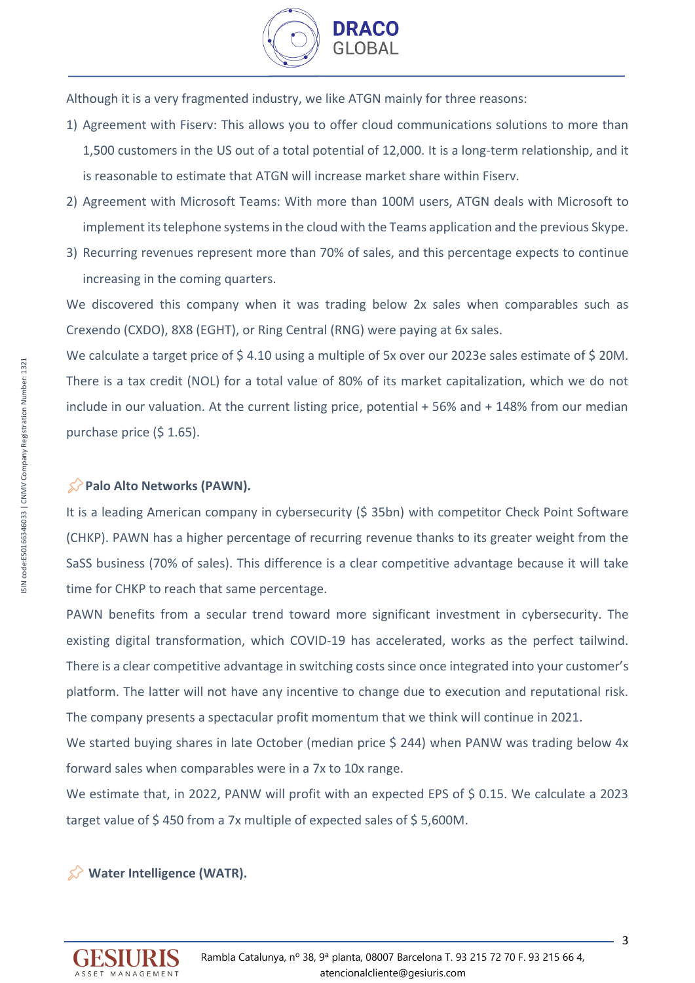

Although it is a very fragmented industry, we like ATGN mainly for three reasons:

- 1) Agreement with Fiserv: This allows you to offer cloud communications solutions to more than 1,500 customers in the US out of a total potential of 12,000. It is a long-term relationship, and it is reasonable to estimate that ATGN will increase market share within Fiserv.
- 2) Agreement with Microsoft Teams: With more than 100M users, ATGN deals with Microsoft to implement its telephone systems in the cloud with the Teams application and the previous Skype.
- 3) Recurring revenues represent more than 70% of sales, and this percentage expects to continue increasing in the coming quarters.

We discovered this company when it was trading below 2x sales when comparables such as Crexendo (CXDO), 8X8 (EGHT), or Ring Central (RNG) were paying at 6x sales.

We calculate a target price of \$4.10 using a multiple of 5x over our 2023e sales estimate of \$20M. There is a tax credit (NOL) for a total value of 80% of its market capitalization, which we do not include in our valuation. At the current listing price, potential + 56% and + 148% from our median purchase price (\$ 1.65).

## **Palo Alto Networks (PAWN).**

It is a leading American company in cybersecurity (\$ 35bn) with competitor Check Point Software (CHKP). PAWN has a higher percentage of recurring revenue thanks to its greater weight from the SaSS business (70% of sales). This difference is a clear competitive advantage because it will take time for CHKP to reach that same percentage.

PAWN benefits from a secular trend toward more significant investment in cybersecurity. The existing digital transformation, which COVID-19 has accelerated, works as the perfect tailwind. There is a clear competitive advantage in switching costssince once integrated into your customer's platform. The latter will not have any incentive to change due to execution and reputational risk. The company presents a spectacular profit momentum that we think will continue in 2021.

We started buying shares in late October (median price \$ 244) when PANW was trading below 4x forward sales when comparables were in a 7x to 10x range.

We estimate that, in 2022, PANW will profit with an expected EPS of \$ 0.15. We calculate a 2023 target value of \$450 from a 7x multiple of expected sales of \$5,600M.

## **Water Intelligence (WATR).**

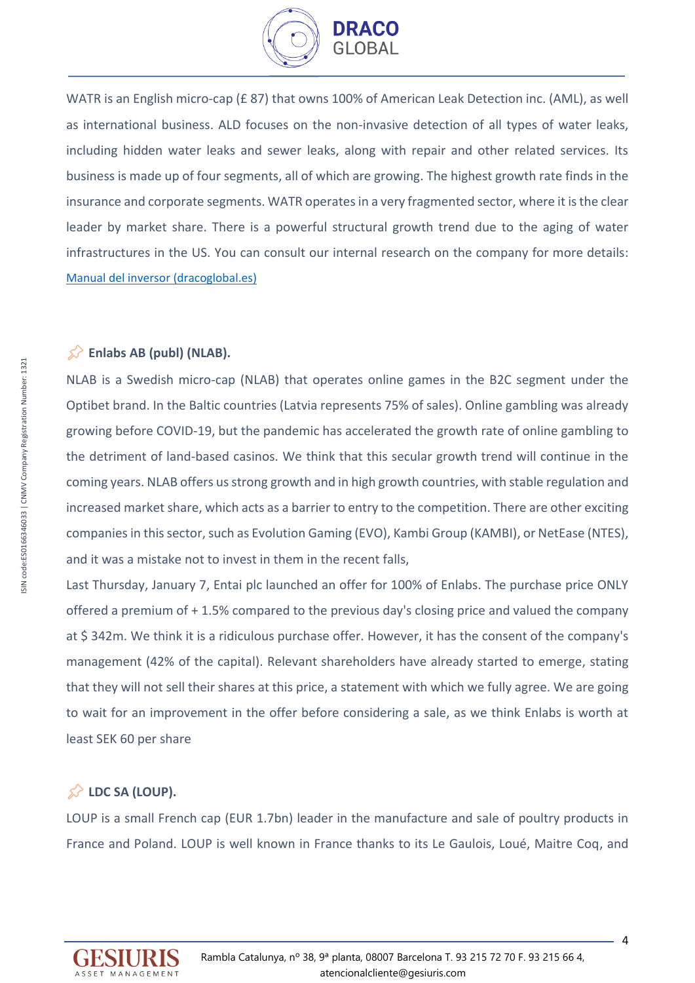

WATR is an English micro-cap (£ 87) that owns 100% of American Leak Detection inc. (AML), as well as international business. ALD focuses on the non-invasive detection of all types of water leaks, including hidden water leaks and sewer leaks, along with repair and other related services. Its business is made up of four segments, all of which are growing. The highest growth rate finds in the insurance and corporate segments. WATR operates in a very fragmented sector, where it is the clear leader by market share. There is a powerful structural growth trend due to the aging of water infrastructures in the US. You can consult our internal research on the company for more details: [Manual del inversor \(dracoglobal.es\)](https://www.dracoglobal.es/en/wp-content/uploads/2020/09/WaterIntelligence_Tesisinversi%C3%B3n.es_.en_.pdf)

## **Enlabs AB (publ) (NLAB).**

NLAB is a Swedish micro-cap (NLAB) that operates online games in the B2C segment under the Optibet brand. In the Baltic countries (Latvia represents 75% of sales). Online gambling was already growing before COVID-19, but the pandemic has accelerated the growth rate of online gambling to the detriment of land-based casinos. We think that this secular growth trend will continue in the coming years. NLAB offers us strong growth and in high growth countries, with stable regulation and increased market share, which acts as a barrier to entry to the competition. There are other exciting companies in this sector, such as Evolution Gaming (EVO), Kambi Group (KAMBI), or NetEase (NTES), and it was a mistake not to invest in them in the recent falls,

Last Thursday, January 7, Entai plc launched an offer for 100% of Enlabs. The purchase price ONLY offered a premium of + 1.5% compared to the previous day's closing price and valued the company at \$ 342m. We think it is a ridiculous purchase offer. However, it has the consent of the company's management (42% of the capital). Relevant shareholders have already started to emerge, stating that they will not sell their shares at this price, a statement with which we fully agree. We are going to wait for an improvement in the offer before considering a sale, as we think Enlabs is worth at least SEK 60 per share

# **LDC SA (LOUP).**

LOUP is a small French cap (EUR 1.7bn) leader in the manufacture and sale of poultry products in France and Poland. LOUP is well known in France thanks to its Le Gaulois, Loué, Maitre Coq, and

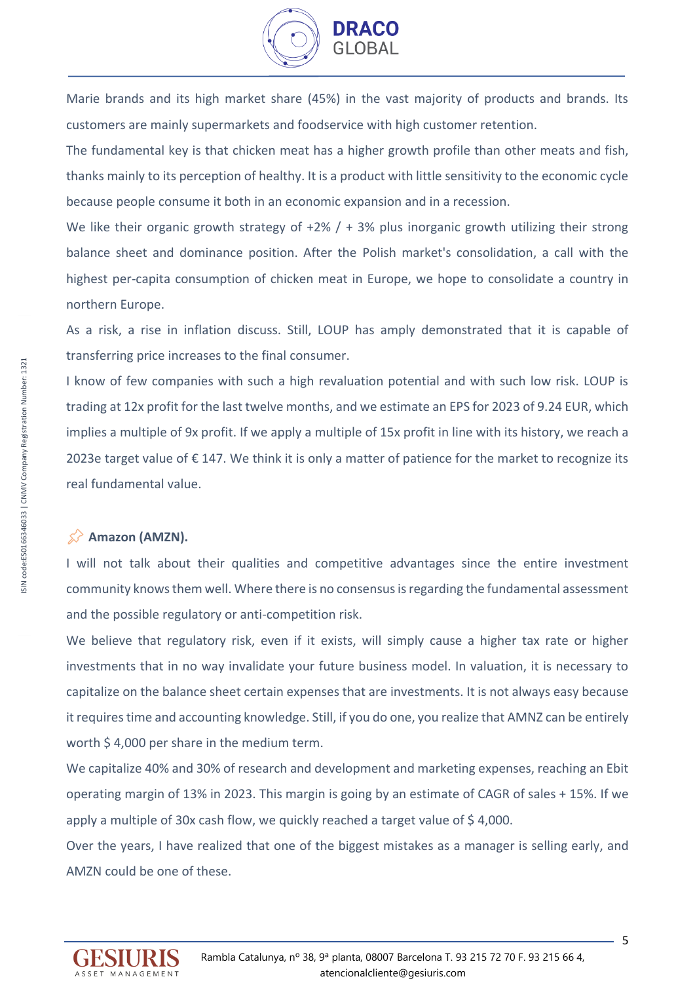

Marie brands and its high market share (45%) in the vast majority of products and brands. Its customers are mainly supermarkets and foodservice with high customer retention.

The fundamental key is that chicken meat has a higher growth profile than other meats and fish, thanks mainly to its perception of healthy. It is a product with little sensitivity to the economic cycle because people consume it both in an economic expansion and in a recession.

We like their organic growth strategy of  $+2\%$  /  $+ 3\%$  plus inorganic growth utilizing their strong balance sheet and dominance position. After the Polish market's consolidation, a call with the highest per-capita consumption of chicken meat in Europe, we hope to consolidate a country in northern Europe.

As a risk, a rise in inflation discuss. Still, LOUP has amply demonstrated that it is capable of transferring price increases to the final consumer.

I know of few companies with such a high revaluation potential and with such low risk. LOUP is trading at 12x profit for the last twelve months, and we estimate an EPS for 2023 of 9.24 EUR, which implies a multiple of 9x profit. If we apply a multiple of 15x profit in line with its history, we reach a 2023e target value of € 147. We think it is only a matter of patience for the market to recognize its real fundamental value.

### **Amazon (AMZN).**

I will not talk about their qualities and competitive advantages since the entire investment community knows them well. Where there is no consensus is regarding the fundamental assessment and the possible regulatory or anti-competition risk.

We believe that regulatory risk, even if it exists, will simply cause a higher tax rate or higher investments that in no way invalidate your future business model. In valuation, it is necessary to capitalize on the balance sheet certain expenses that are investments. It is not always easy because it requires time and accounting knowledge. Still, if you do one, you realize that AMNZ can be entirely worth \$4,000 per share in the medium term.

We capitalize 40% and 30% of research and development and marketing expenses, reaching an Ebit operating margin of 13% in 2023. This margin is going by an estimate of CAGR of sales + 15%. If we apply a multiple of 30x cash flow, we quickly reached a target value of \$4,000.

Over the years, I have realized that one of the biggest mistakes as a manager is selling early, and AMZN could be one of these.

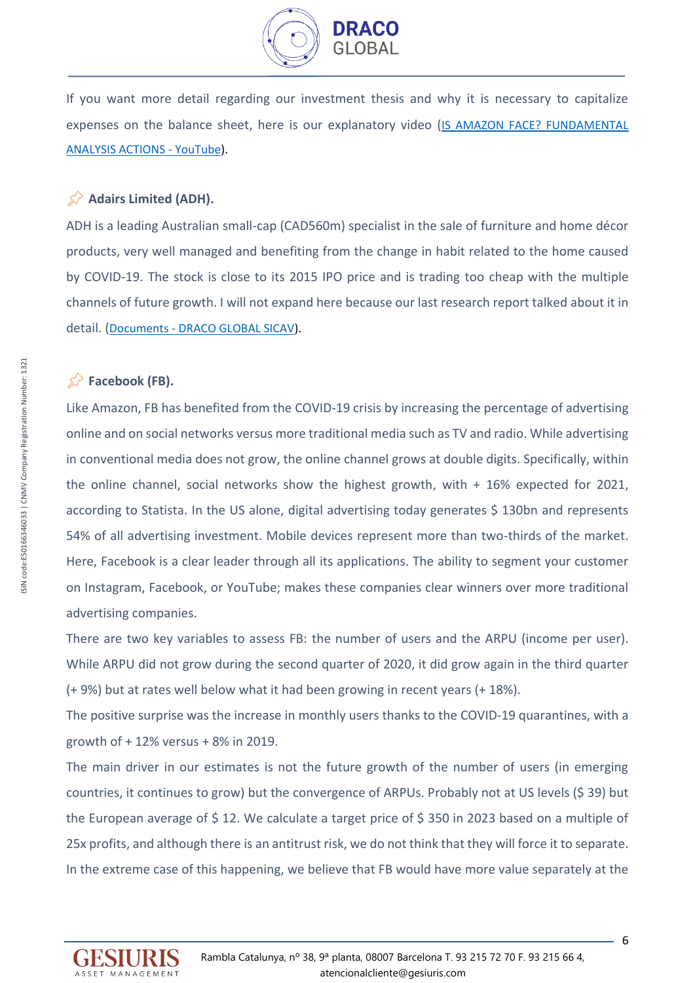

If you want more detail regarding our investment thesis and why it is necessary to capitalize expenses on the balance sheet, here is our explanatory video ([IS AMAZON FACE? FUNDAMENTAL](https://www.youtube.com/watch?v=5CvuEIrdi5I&t=1s)  [ANALYSIS ACTIONS -](https://www.youtube.com/watch?v=5CvuEIrdi5I&t=1s) YouTube).

## **Adairs Limited (ADH).**

ADH is a leading Australian small-cap (CAD560m) specialist in the sale of furniture and home décor products, very well managed and benefiting from the change in habit related to the home caused by COVID-19. The stock is close to its 2015 IPO price and is trading too cheap with the multiple channels of future growth. I will not expand here because our last research report talked about it in detail. (Documents - [DRACO GLOBAL SICAV\)](https://www.dracoglobal.es/documentos/).

# $\hat{\mathbb{R}}$  Facebook (FB).

Like Amazon, FB has benefited from the COVID-19 crisis by increasing the percentage of advertising online and on social networks versus more traditional media such as TV and radio. While advertising in conventional media does not grow, the online channel grows at double digits. Specifically, within the online channel, social networks show the highest growth, with + 16% expected for 2021, according to Statista. In the US alone, digital advertising today generates  $\frac{1}{2}$  130bn and represents 54% of all advertising investment. Mobile devices represent more than two-thirds of the market. Here, Facebook is a clear leader through all its applications. The ability to segment your customer on Instagram, Facebook, or YouTube; makes these companies clear winners over more traditional advertising companies.

There are two key variables to assess FB: the number of users and the ARPU (income per user). While ARPU did not grow during the second quarter of 2020, it did grow again in the third quarter (+ 9%) but at rates well below what it had been growing in recent years (+ 18%).

The positive surprise was the increase in monthly users thanks to the COVID-19 quarantines, with a growth of + 12% versus + 8% in 2019.

The main driver in our estimates is not the future growth of the number of users (in emerging countries, it continues to grow) but the convergence of ARPUs. Probably not at US levels (\$ 39) but the European average of \$ 12. We calculate a target price of \$ 350 in 2023 based on a multiple of 25x profits, and although there is an antitrust risk, we do not think that they will force it to separate. In the extreme case of this happening, we believe that FB would have more value separately at the

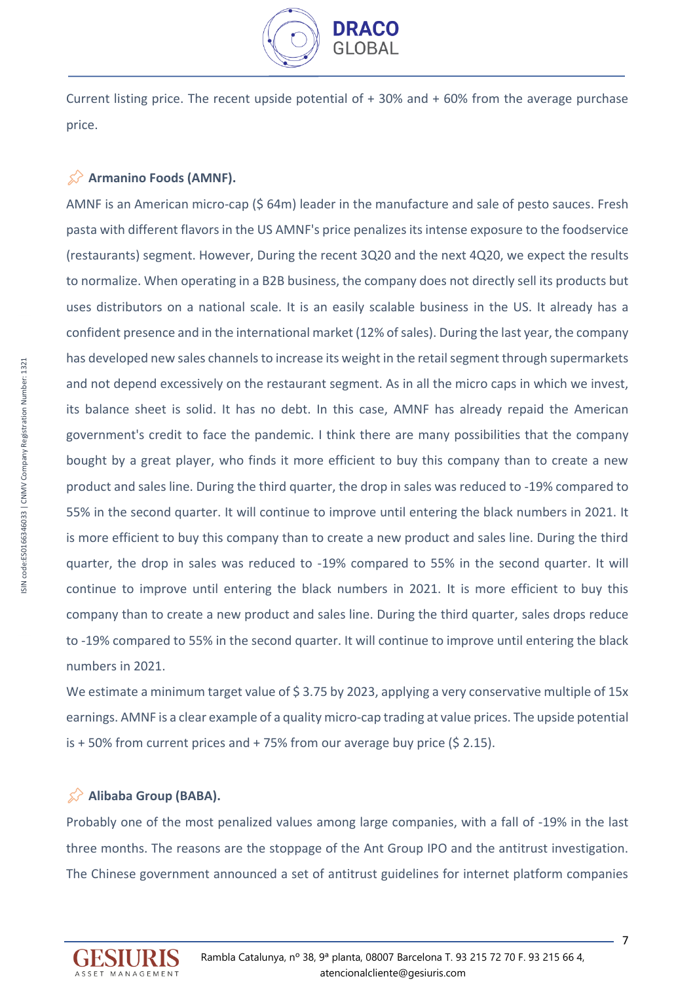

Current listing price. The recent upside potential of  $+30\%$  and  $+60\%$  from the average purchase price.

# **Armanino Foods (AMNF).**

AMNF is an American micro-cap (\$ 64m) leader in the manufacture and sale of pesto sauces. Fresh pasta with different flavors in the US AMNF's price penalizes its intense exposure to the foodservice (restaurants) segment. However, During the recent 3Q20 and the next 4Q20, we expect the results to normalize. When operating in a B2B business, the company does not directly sell its products but uses distributors on a national scale. It is an easily scalable business in the US. It already has a confident presence and in the international market (12% of sales). During the last year, the company has developed new sales channels to increase its weight in the retail segment through supermarkets and not depend excessively on the restaurant segment. As in all the micro caps in which we invest, its balance sheet is solid. It has no debt. In this case, AMNF has already repaid the American government's credit to face the pandemic. I think there are many possibilities that the company bought by a great player, who finds it more efficient to buy this company than to create a new product and sales line. During the third quarter, the drop in sales was reduced to -19% compared to 55% in the second quarter. It will continue to improve until entering the black numbers in 2021. It is more efficient to buy this company than to create a new product and sales line. During the third quarter, the drop in sales was reduced to -19% compared to 55% in the second quarter. It will continue to improve until entering the black numbers in 2021. It is more efficient to buy this company than to create a new product and sales line. During the third quarter, sales drops reduce to -19% compared to 55% in the second quarter. It will continue to improve until entering the black numbers in 2021.

We estimate a minimum target value of \$3.75 by 2023, applying a very conservative multiple of 15x earnings. AMNF is a clear example of a quality micro-cap trading at value prices. The upside potential is  $+50\%$  from current prices and  $+75\%$  from our average buy price (\$ 2.15).

## **Alibaba Group (BABA).**

Probably one of the most penalized values among large companies, with a fall of -19% in the last three months. The reasons are the stoppage of the Ant Group IPO and the antitrust investigation. The Chinese government announced a set of antitrust guidelines for internet platform companies

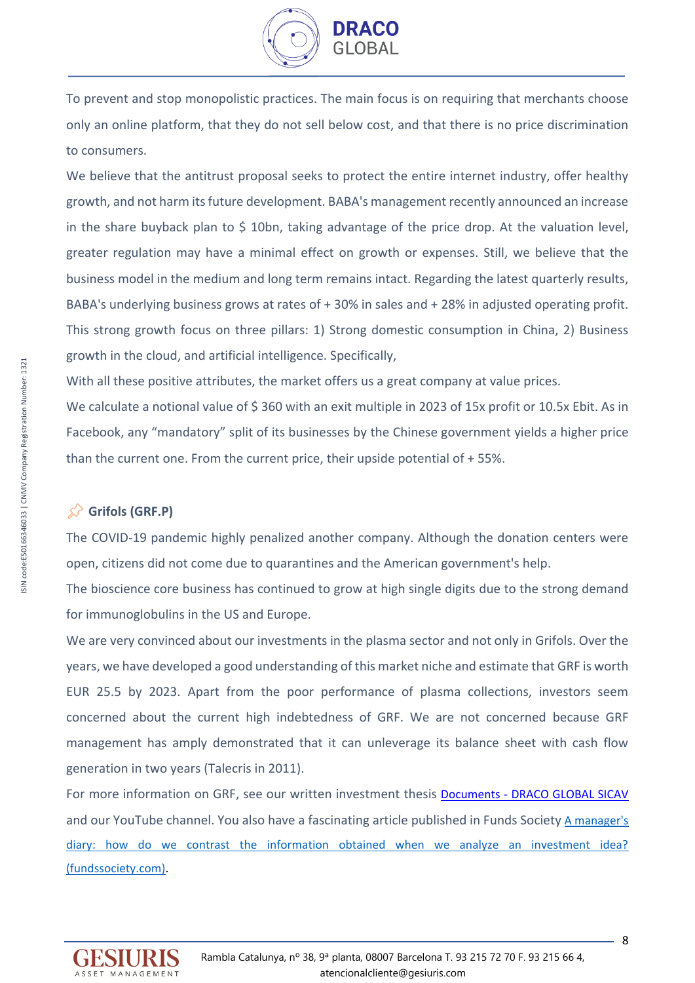

To prevent and stop monopolistic practices. The main focus is on requiring that merchants choose only an online platform, that they do not sell below cost, and that there is no price discrimination to consumers.

We believe that the antitrust proposal seeks to protect the entire internet industry, offer healthy growth, and not harm its future development. BABA's management recently announced an increase in the share buyback plan to  $\frac{2}{3}$  10bn, taking advantage of the price drop. At the valuation level, greater regulation may have a minimal effect on growth or expenses. Still, we believe that the business model in the medium and long term remains intact. Regarding the latest quarterly results, BABA's underlying business grows at rates of + 30% in sales and + 28% in adjusted operating profit. This strong growth focus on three pillars: 1) Strong domestic consumption in China, 2) Business growth in the cloud, and artificial intelligence. Specifically,

With all these positive attributes, the market offers us a great company at value prices.

We calculate a notional value of \$360 with an exit multiple in 2023 of 15x profit or 10.5x Ebit. As in Facebook, any "mandatory" split of its businesses by the Chinese government yields a higher price than the current one. From the current price, their upside potential of + 55%.

# **Grifols (GRF.P)**

The COVID-19 pandemic highly penalized another company. Although the donation centers were open, citizens did not come due to quarantines and the American government's help.

The bioscience core business has continued to grow at high single digits due to the strong demand for immunoglobulins in the US and Europe.

We are very convinced about our investments in the plasma sector and not only in Grifols. Over the years, we have developed a good understanding of this market niche and estimate that GRF is worth EUR 25.5 by 2023. Apart from the poor performance of plasma collections, investors seem concerned about the current high indebtedness of GRF. We are not concerned because GRF management has amply demonstrated that it can unleverage its balance sheet with cash flow generation in two years (Talecris in 2011).

For more information on GRF, see our written investment thesis **Documents - [DRACO GLOBAL SICAV](https://www.dracoglobal.es/documentos/)** and our YouTube channel. You also have a fascinating article published in Funds Society [A manager's](https://www.fundssociety.com/es/opinion/diario-de-un-gestor-como-contrastamos-la-informacion-obtenida-cuando-analizamos-una-idea-de-inversion)  [diary: how do we contrast the information obtained when we analyze an investment idea?](https://www.fundssociety.com/es/opinion/diario-de-un-gestor-como-contrastamos-la-informacion-obtenida-cuando-analizamos-una-idea-de-inversion)  [\(fundssociety.com\).](https://www.fundssociety.com/es/opinion/diario-de-un-gestor-como-contrastamos-la-informacion-obtenida-cuando-analizamos-una-idea-de-inversion)

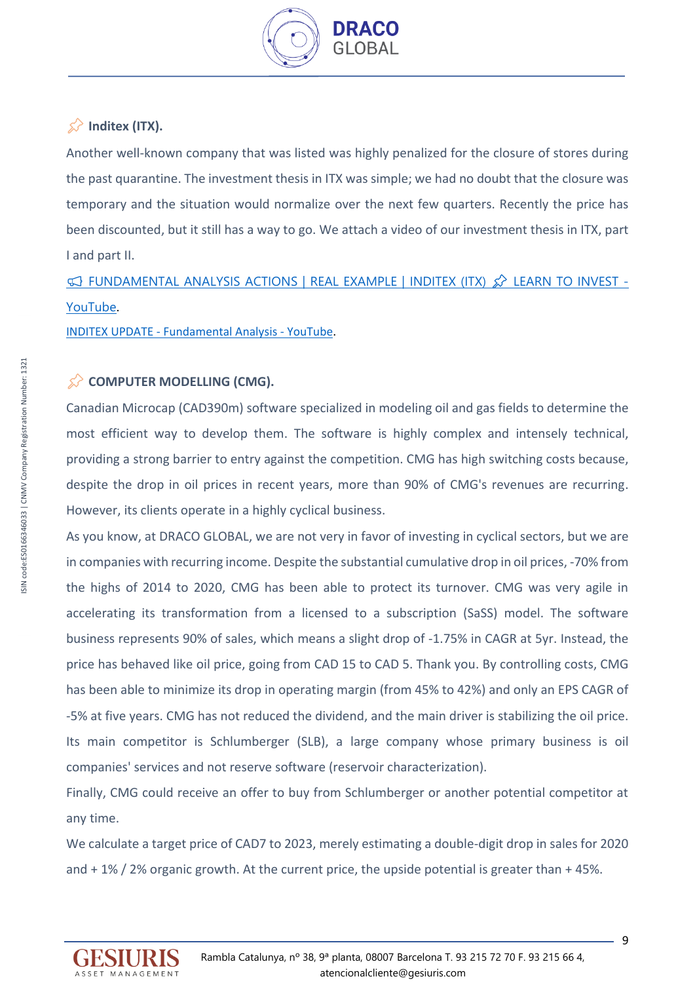

# $\hat{\mathbb{X}}$  Inditex (ITX).

Another well-known company that was listed was highly penalized for the closure of stores during the past quarantine. The investment thesis in ITX was simple; we had no doubt that the closure was temporary and the situation would normalize over the next few quarters. Recently the price has been discounted, but it still has a way to go. We attach a video of our investment thesis in ITX, part I and part II.

 $\heartsuit$  fundamental analysis actions | Real example | Inditex (ITX)  $\hat{\mathcal{L}}$  learn to invest -[YouTube](https://www.youtube.com/watch?v=zk6bbqEFd_A&t=1284s).

INDITEX UPDATE - [Fundamental Analysis -](https://www.youtube.com/watch?v=x29mxT98k18&t=755s) YouTube.

# COMPUTER MODELLING (CMG).

Canadian Microcap (CAD390m) software specialized in modeling oil and gas fields to determine the most efficient way to develop them. The software is highly complex and intensely technical, providing a strong barrier to entry against the competition. CMG has high switching costs because, despite the drop in oil prices in recent years, more than 90% of CMG's revenues are recurring. However, its clients operate in a highly cyclical business.

As you know, at DRACO GLOBAL, we are not very in favor of investing in cyclical sectors, but we are in companies with recurring income. Despite the substantial cumulative drop in oil prices, -70% from the highs of 2014 to 2020, CMG has been able to protect its turnover. CMG was very agile in accelerating its transformation from a licensed to a subscription (SaSS) model. The software business represents 90% of sales, which means a slight drop of -1.75% in CAGR at 5yr. Instead, the price has behaved like oil price, going from CAD 15 to CAD 5. Thank you. By controlling costs, CMG has been able to minimize its drop in operating margin (from 45% to 42%) and only an EPS CAGR of -5% at five years. CMG has not reduced the dividend, and the main driver is stabilizing the oil price. Its main competitor is Schlumberger (SLB), a large company whose primary business is oil companies' services and not reserve software (reservoir characterization).

Finally, CMG could receive an offer to buy from Schlumberger or another potential competitor at any time.

We calculate a target price of CAD7 to 2023, merely estimating a double-digit drop in sales for 2020 and + 1% / 2% organic growth. At the current price, the upside potential is greater than + 45%.

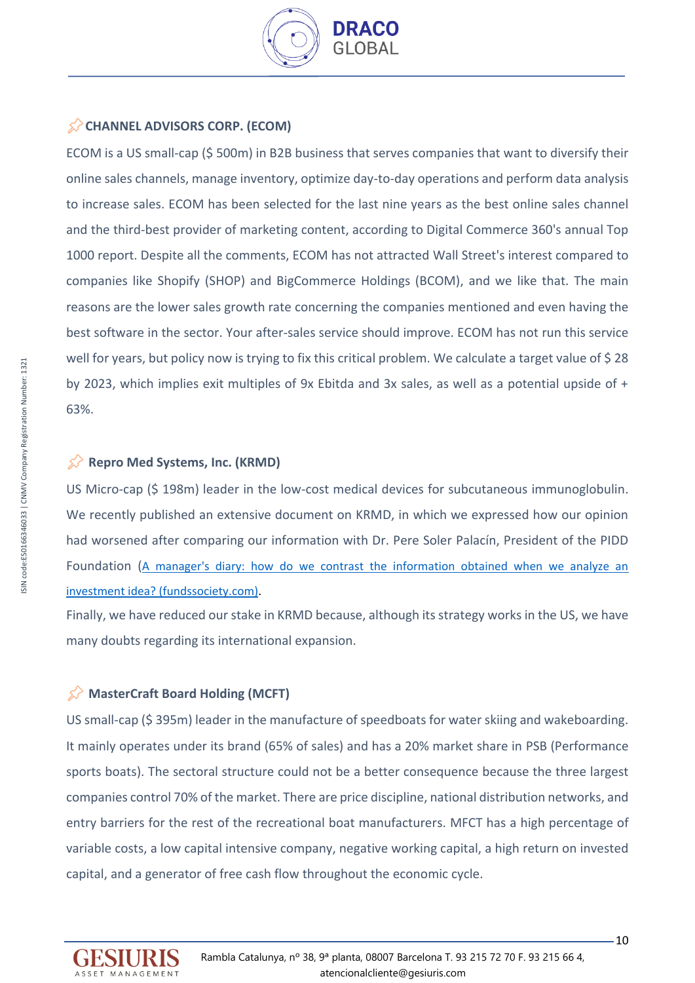

# **CHANNEL ADVISORS CORP. (ECOM)**

ECOM is a US small-cap (\$ 500m) in B2B business that serves companies that want to diversify their online sales channels, manage inventory, optimize day-to-day operations and perform data analysis to increase sales. ECOM has been selected for the last nine years as the best online sales channel and the third-best provider of marketing content, according to Digital Commerce 360's annual Top 1000 report. Despite all the comments, ECOM has not attracted Wall Street's interest compared to companies like Shopify (SHOP) and BigCommerce Holdings (BCOM), and we like that. The main reasons are the lower sales growth rate concerning the companies mentioned and even having the best software in the sector. Your after-sales service should improve. ECOM has not run this service well for years, but policy now is trying to fix this critical problem. We calculate a target value of \$28 by 2023, which implies exit multiples of 9x Ebitda and 3x sales, as well as a potential upside of + 63%.

# **Repro Med Systems, Inc. (KRMD)**

US Micro-cap (\$ 198m) leader in the low-cost medical devices for subcutaneous immunoglobulin. We recently published an extensive document on KRMD, in which we expressed how our opinion had worsened after comparing our information with Dr. Pere Soler Palacín, President of the PIDD Foundation (A manager's diary: [how do we contrast the information obtained when we analyze an](https://www.fundssociety.com/es/opinion/diario-de-un-gestor-como-contrastamos-la-informacion-obtenida-cuando-analizamos-una-idea-de-inversion)  [investment idea? \(fundssociety.com\).](https://www.fundssociety.com/es/opinion/diario-de-un-gestor-como-contrastamos-la-informacion-obtenida-cuando-analizamos-una-idea-de-inversion)

Finally, we have reduced our stake in KRMD because, although its strategy works in the US, we have many doubts regarding its international expansion.

# **MasterCraft Board Holding (MCFT)**

US small-cap (\$ 395m) leader in the manufacture of speedboats for water skiing and wakeboarding. It mainly operates under its brand (65% of sales) and has a 20% market share in PSB (Performance sports boats). The sectoral structure could not be a better consequence because the three largest companies control 70% of the market. There are price discipline, national distribution networks, and entry barriers for the rest of the recreational boat manufacturers. MFCT has a high percentage of variable costs, a low capital intensive company, negative working capital, a high return on invested capital, and a generator of free cash flow throughout the economic cycle.

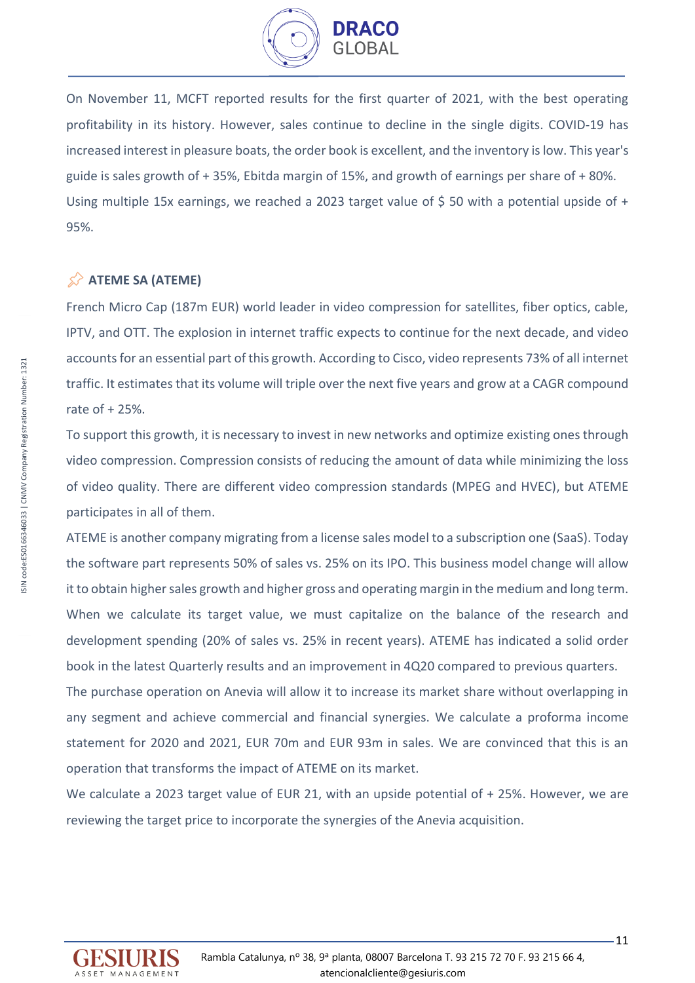

On November 11, MCFT reported results for the first quarter of 2021, with the best operating profitability in its history. However, sales continue to decline in the single digits. COVID-19 has increased interest in pleasure boats, the order book is excellent, and the inventory is low. This year's guide is sales growth of + 35%, Ebitda margin of 15%, and growth of earnings per share of + 80%. Using multiple 15x earnings, we reached a 2023 target value of \$50 with a potential upside of + 95%.

# **ATEME SA (ATEME)**

French Micro Cap (187m EUR) world leader in video compression for satellites, fiber optics, cable, IPTV, and OTT. The explosion in internet traffic expects to continue for the next decade, and video accounts for an essential part of this growth. According to Cisco, video represents 73% of all internet traffic. It estimates that its volume will triple over the next five years and grow at a CAGR compound rate of + 25%.

To support this growth, it is necessary to invest in new networks and optimize existing ones through video compression. Compression consists of reducing the amount of data while minimizing the loss of video quality. There are different video compression standards (MPEG and HVEC), but ATEME participates in all of them.

ATEME is another company migrating from a license sales model to a subscription one (SaaS). Today the software part represents 50% of sales vs. 25% on its IPO. This business model change will allow it to obtain higher sales growth and higher gross and operating margin in the medium and long term. When we calculate its target value, we must capitalize on the balance of the research and development spending (20% of sales vs. 25% in recent years). ATEME has indicated a solid order book in the latest Quarterly results and an improvement in 4Q20 compared to previous quarters.

The purchase operation on Anevia will allow it to increase its market share without overlapping in any segment and achieve commercial and financial synergies. We calculate a proforma income statement for 2020 and 2021, EUR 70m and EUR 93m in sales. We are convinced that this is an operation that transforms the impact of ATEME on its market.

We calculate a 2023 target value of EUR 21, with an upside potential of + 25%. However, we are reviewing the target price to incorporate the synergies of the Anevia acquisition.

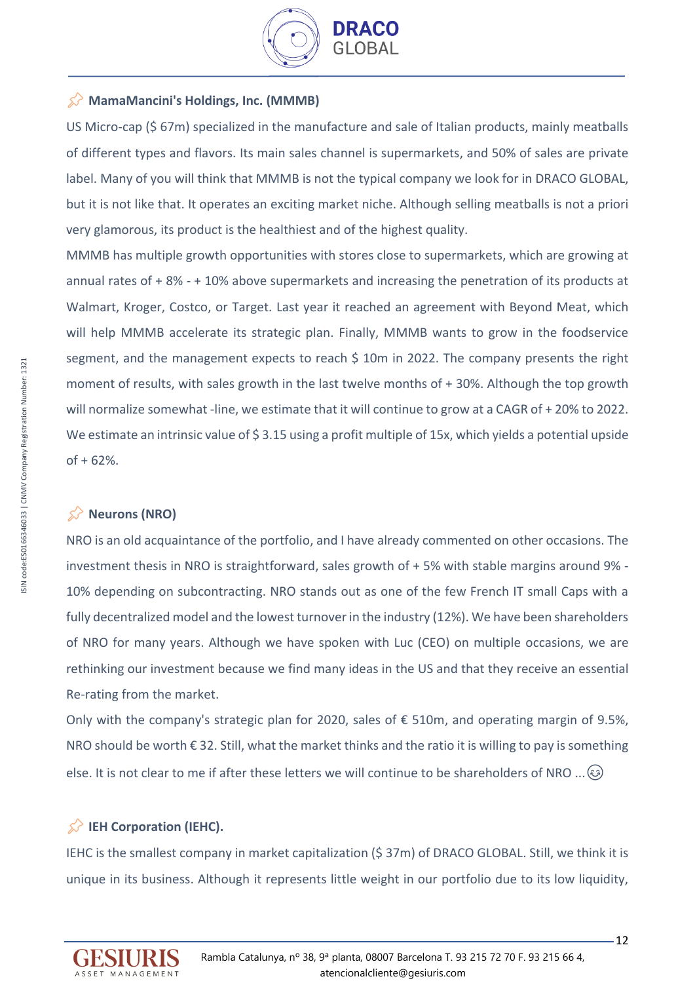

## **MamaMancini's Holdings, Inc. (MMMB)**

US Micro-cap (\$ 67m) specialized in the manufacture and sale of Italian products, mainly meatballs of different types and flavors. Its main sales channel is supermarkets, and 50% of sales are private label. Many of you will think that MMMB is not the typical company we look for in DRACO GLOBAL, but it is not like that. It operates an exciting market niche. Although selling meatballs is not a priori very glamorous, its product is the healthiest and of the highest quality.

MMMB has multiple growth opportunities with stores close to supermarkets, which are growing at annual rates of + 8% - + 10% above supermarkets and increasing the penetration of its products at Walmart, Kroger, Costco, or Target. Last year it reached an agreement with Beyond Meat, which will help MMMB accelerate its strategic plan. Finally, MMMB wants to grow in the foodservice segment, and the management expects to reach \$ 10m in 2022. The company presents the right moment of results, with sales growth in the last twelve months of + 30%. Although the top growth will normalize somewhat -line, we estimate that it will continue to grow at a CAGR of + 20% to 2022. We estimate an intrinsic value of \$3.15 using a profit multiple of 15x, which yields a potential upside  $of + 62\%.$ 

## $\hat{\mathbb{X}}$  Neurons (NRO)

NRO is an old acquaintance of the portfolio, and I have already commented on other occasions. The investment thesis in NRO is straightforward, sales growth of + 5% with stable margins around 9% - 10% depending on subcontracting. NRO stands out as one of the few French IT small Caps with a fully decentralized model and the lowest turnover in the industry (12%). We have been shareholders of NRO for many years. Although we have spoken with Luc (CEO) on multiple occasions, we are rethinking our investment because we find many ideas in the US and that they receive an essential Re-rating from the market.

Only with the company's strategic plan for 2020, sales of € 510m, and operating margin of 9.5%, NRO should be worth € 32. Still, what the market thinks and the ratio it is willing to pay is something else. It is not clear to me if after these letters we will continue to be shareholders of NRO ...  $\circledast$ 

# **IEH Corporation (IEHC).**

IEHC is the smallest company in market capitalization (\$ 37m) of DRACO GLOBAL. Still, we think it is unique in its business. Although it represents little weight in our portfolio due to its low liquidity,

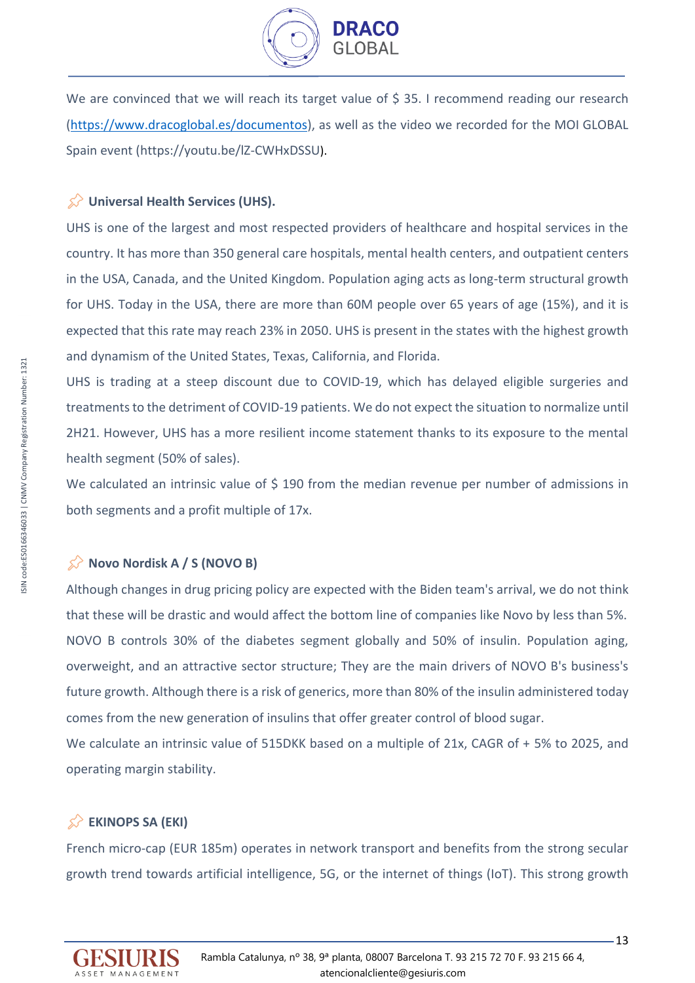

We are convinced that we will reach its target value of \$35. I recommend reading our research [\(https://www.dracoglobal.es/documentos\)](https://www.dracoglobal.es/documentos), as well as the video we recorded for the MOI GLOBAL Spain event [\(https://youtu.be/lZ-CWHxDSSU](https://youtu.be/lZ-CWHxDSSU)).

## **EXT** Universal Health Services (UHS).

UHS is one of the largest and most respected providers of healthcare and hospital services in the country. It has more than 350 general care hospitals, mental health centers, and outpatient centers in the USA, Canada, and the United Kingdom. Population aging acts as long-term structural growth for UHS. Today in the USA, there are more than 60M people over 65 years of age (15%), and it is expected that this rate may reach 23% in 2050. UHS is present in the states with the highest growth and dynamism of the United States, Texas, California, and Florida.

UHS is trading at a steep discount due to COVID-19, which has delayed eligible surgeries and treatments to the detriment of COVID-19 patients. We do not expect the situation to normalize until 2H21. However, UHS has a more resilient income statement thanks to its exposure to the mental health segment (50% of sales).

We calculated an intrinsic value of \$190 from the median revenue per number of admissions in both segments and a profit multiple of 17x.

## **Novo Nordisk A / S (NOVO B)**

Although changes in drug pricing policy are expected with the Biden team's arrival, we do not think that these will be drastic and would affect the bottom line of companies like Novo by less than 5%. NOVO B controls 30% of the diabetes segment globally and 50% of insulin. Population aging, overweight, and an attractive sector structure; They are the main drivers of NOVO B's business's future growth. Although there is a risk of generics, more than 80% of the insulin administered today comes from the new generation of insulins that offer greater control of blood sugar. We calculate an intrinsic value of 515DKK based on a multiple of 21x, CAGR of + 5% to 2025, and

# **EKINOPS SA (EKI)**

operating margin stability.

French micro-cap (EUR 185m) operates in network transport and benefits from the strong secular growth trend towards artificial intelligence, 5G, or the internet of things (IoT). This strong growth

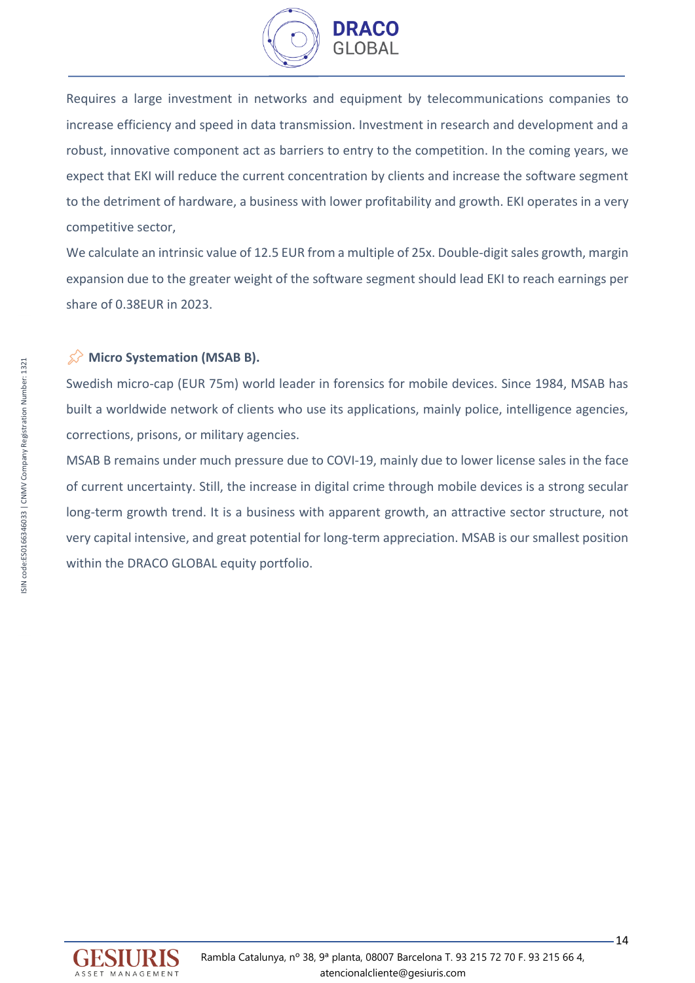

Requires a large investment in networks and equipment by telecommunications companies to increase efficiency and speed in data transmission. Investment in research and development and a robust, innovative component act as barriers to entry to the competition. In the coming years, we expect that EKI will reduce the current concentration by clients and increase the software segment to the detriment of hardware, a business with lower profitability and growth. EKI operates in a very competitive sector,

We calculate an intrinsic value of 12.5 EUR from a multiple of 25x. Double-digit sales growth, margin expansion due to the greater weight of the software segment should lead EKI to reach earnings per share of 0.38EUR in 2023.

## **Micro Systemation (MSAB B).**

Swedish micro-cap (EUR 75m) world leader in forensics for mobile devices. Since 1984, MSAB has built a worldwide network of clients who use its applications, mainly police, intelligence agencies, corrections, prisons, or military agencies.

MSAB B remains under much pressure due to COVI-19, mainly due to lower license sales in the face of current uncertainty. Still, the increase in digital crime through mobile devices is a strong secular long-term growth trend. It is a business with apparent growth, an attractive sector structure, not very capital intensive, and great potential for long-term appreciation. MSAB is our smallest position within the DRACO GLOBAL equity portfolio.